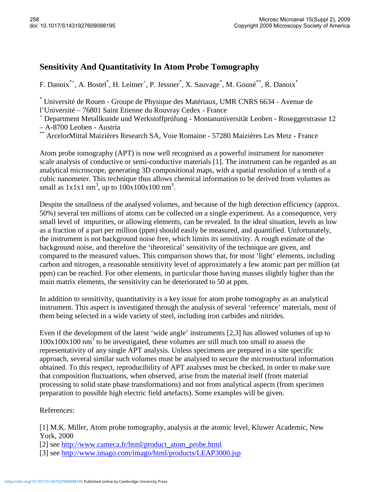## **Sensitivity And Quantitativity In Atom Probe Tomography**

F. Danoix<sup>\*+</sup>, A. Bostel<sup>\*</sup>, H. Leitner<sup>+</sup>, P. Jessner<sup>\*</sup>, X. Sauvage<sup>\*</sup>, M. Gouné<sup>\*\*</sup>, R. Danoix<sup>\*</sup>

\* Université de Rouen - Groupe de Physique des Matériaux, UMR CNRS 6634 - Avenue de l'Université – 76801 Saint Etienne du Rouvray Cedex - France

+ Department Metallkunde und Werkstoffprüfung - Montanuniversität Leoben - Roseggerstrasse 12 – A-8700 Leoben - Austria

\*\* ArcelorMittal Maizières Research SA, Voie Romaine - 57280 Maizières Les Metz - France

Atom probe tomography (APT) is now well recognised as a powerful instrument for nanometer scale analysis of conductive or semi-conductive materials [1]. The instrument can be regarded as an analytical microscope, generating 3D compositional maps, with a spatial resolution of a tenth of a cubic nanometer. This technique thus allows chemical information to be derived from volumes as small as  $1x1x1$  nm<sup>3</sup>, up to  $100x100x100$  nm<sup>3</sup>.

Despite the smallness of the analysed volumes, and because of the high detection efficiency (approx. 50%) several ten millions of atoms can be collected on a single experiment. As a consequence, very small level of impurities, or allowing elements, can be revealed. In the ideal situation, levels as low as a fraction of a part per million (ppm) should easily be measured, and quantified. Unfortunately, the instrument is not background noise free, which limits its sensitivity. A rough estimate of the background noise, and therefore the 'theoretical' sensitivity of the technique are given, and compared to the measured values. This comparison shows that, for most 'light' elements, including carbon and nitrogen, a reasonable sensitivity level of approximately a few atomic part per million (at ppm) can be reached. For other elements, in particular those having masses slightly higher than the main matrix elements, the sensitivity can be deteriorated to 50 at ppm.

In addition to sensitivity, quantitativity is a key issue for atom probe tomography as an analytical instrument. This aspect is investigated through the analysis of several 'reference' materials, most of them being selected in a wide variety of steel, including iron carbides and nitrides.

Even if the development of the latest 'wide angle' instruments [2,3] has allowed volumes of up to  $100x100x100$  nm<sup>3</sup> to be investigated, these volumes are still much too small to assess the representativity of any single APT analysis. Unless specimens are prepared in a site specific approach, several similar such volumes must be analysed to secure the microstructural information obtained. To this respect, reproducibility of APT analyses must be checked, in order to make sure that composition fluctuations, when observed, arise from the material itself (from material processing to solid state phase transformations) and not from analytical aspects (from specimen preparation to possible high electric field artefacts). Some examples will be given.

References:

[1] M.K. Miller, Atom probe tomography, analysis at the atomic level, Kluwer Academic, New York, 2000

[2] see http://www.cameca.fr/html/product\_atom\_probe.html

[3] see http://www.imago.com/imago/html/products/LEAP3000.jsp